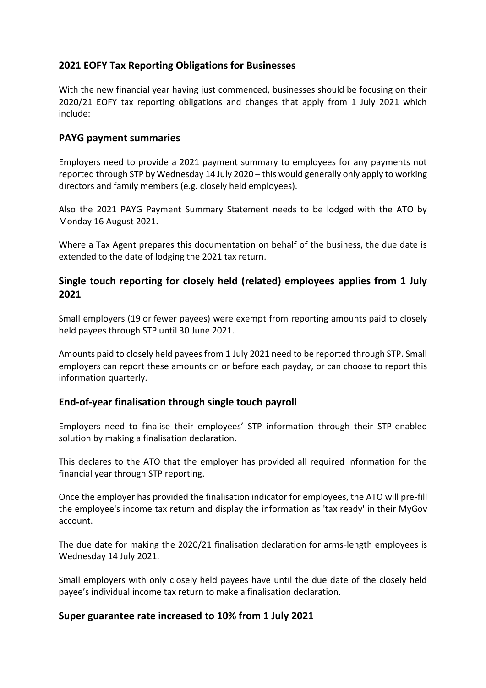# **2021 EOFY Tax Reporting Obligations for Businesses**

With the new financial year having just commenced, businesses should be focusing on their 2020/21 EOFY tax reporting obligations and changes that apply from 1 July 2021 which include:

### **PAYG payment summaries**

Employers need to provide a 2021 payment summary to employees for any payments not reported through STP by Wednesday 14 July 2020 – this would generally only apply to working directors and family members (e.g. closely held employees).

Also the 2021 PAYG Payment Summary Statement needs to be lodged with the ATO by Monday 16 August 2021.

Where a Tax Agent prepares this documentation on behalf of the business, the due date is extended to the date of lodging the 2021 tax return.

# **Single touch reporting for closely held (related) employees applies from 1 July 2021**

Small employers (19 or fewer payees) were exempt from reporting amounts paid to closely held payees through STP until 30 June 2021.

Amounts paid to closely held payees from 1 July 2021 need to be reported through STP. Small employers can report these amounts on or before each payday, or can choose to report this information quarterly.

### **End-of-year finalisation through single touch payroll**

Employers need to finalise their employees' STP information through their STP-enabled solution by making a finalisation declaration.

This declares to the ATO that the employer has provided all required information for the financial year through STP reporting.

Once the employer has provided the finalisation indicator for employees, the ATO will pre-fill the employee's income tax return and display the information as 'tax ready' in their MyGov account.

The due date for making the 2020/21 finalisation declaration for arms-length employees is Wednesday 14 July 2021.

Small employers with only closely held payees have until the due date of the closely held payee's individual income tax return to make a finalisation declaration.

### **Super guarantee rate increased to 10% from 1 July 2021**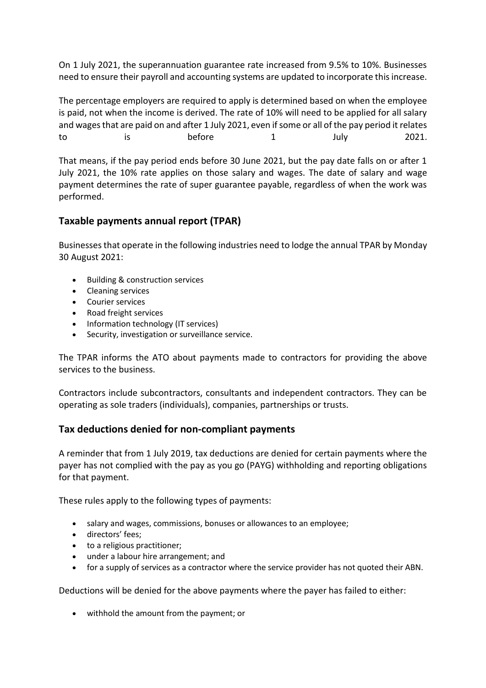On 1 July 2021, the superannuation guarantee rate increased from 9.5% to 10%. Businesses need to ensure their payroll and accounting systems are updated to incorporate this increase.

The percentage employers are required to apply is determined based on when the employee is paid, not when the income is derived. The rate of 10% will need to be applied for all salary and wages that are paid on and after 1 July 2021, even if some or all of the pay period it relates to is before 1 July 2021.

That means, if the pay period ends before 30 June 2021, but the pay date falls on or after 1 July 2021, the 10% rate applies on those salary and wages. The date of salary and wage payment determines the rate of super guarantee payable, regardless of when the work was performed.

# **Taxable payments annual report (TPAR)**

Businesses that operate in the following industries need to lodge the annual TPAR by Monday 30 August 2021:

- Building & construction services
- Cleaning services
- Courier services
- Road freight services
- Information technology (IT services)
- Security, investigation or surveillance service.

The TPAR informs the ATO about payments made to contractors for providing the above services to the business.

Contractors include subcontractors, consultants and independent contractors. They can be operating as sole traders (individuals), companies, partnerships or trusts.

### **Tax deductions denied for non-compliant payments**

A reminder that from 1 July 2019, tax deductions are denied for certain payments where the payer has not complied with the pay as you go (PAYG) withholding and reporting obligations for that payment.

These rules apply to the following types of payments:

- salary and wages, commissions, bonuses or allowances to an employee;
- directors' fees;
- to a religious practitioner;
- under a labour hire arrangement; and
- for a supply of services as a contractor where the service provider has not quoted their ABN.

Deductions will be denied for the above payments where the payer has failed to either:

withhold the amount from the payment; or